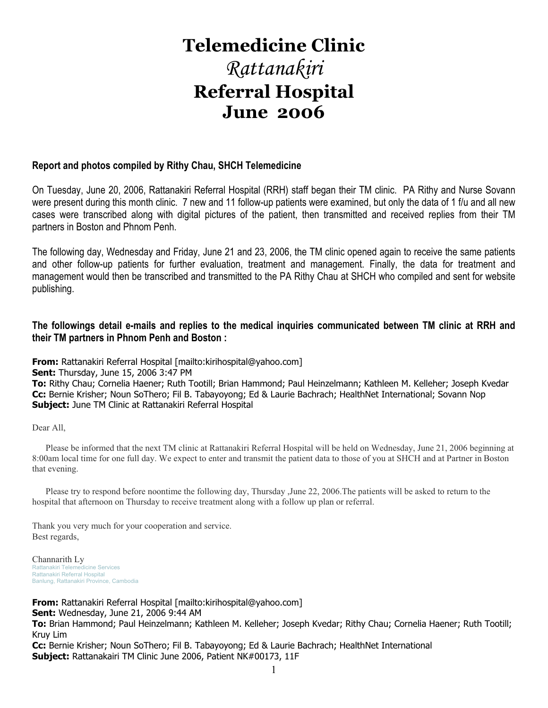## **Telemedicine Clinic**  Rattanakiri **Referral Hospital June 2006**

### **Report and photos compiled by Rithy Chau, SHCH Telemedicine**

On Tuesday, June 20, 2006, Rattanakiri Referral Hospital (RRH) staff began their TM clinic. PA Rithy and Nurse Sovann were present during this month clinic. 7 new and 11 follow-up patients were examined, but only the data of 1 f/u and all new cases were transcribed along with digital pictures of the patient, then transmitted and received replies from their TM partners in Boston and Phnom Penh.

The following day, Wednesday and Friday, June 21 and 23, 2006, the TM clinic opened again to receive the same patients and other follow-up patients for further evaluation, treatment and management. Finally, the data for treatment and management would then be transcribed and transmitted to the PA Rithy Chau at SHCH who compiled and sent for website publishing.

### **The followings detail e-mails and replies to the medical inquiries communicated between TM clinic at RRH and their TM partners in Phnom Penh and Boston :**

**From:** Rattanakiri Referral Hospital [mailto:kirihospital@yahoo.com]

**From:** Rattanakiri Referral Hospital [mailto:kirihospital@yahoo.com]

**Sent:** Thursday, June 15, 2006 3:47 PM

**To:** Rithy Chau; Cornelia Haener; Ruth Tootill; Brian Hammond; Paul Heinzelmann; Kathleen M. Kelleher; Joseph Kvedar **Cc:** Bernie Krisher; Noun SoThero; Fil B. Tabayoyong; Ed & Laurie Bachrach; HealthNet International; Sovann Nop **Subject:** June TM Clinic at Rattanakiri Referral Hospital

Dear All,

 Please be informed that the next TM clinic at Rattanakiri Referral Hospital will be held on Wednesday, June 21, 2006 beginning at 8:00am local time for one full day. We expect to enter and transmit the patient data to those of you at SHCH and at Partner in Boston that evening.

 Please try to respond before noontime the following day, Thursday ,June 22, 2006.The patients will be asked to return to the hospital that afternoon on Thursday to receive treatment along with a follow up plan or referral.

Thank you very much for your cooperation and service. Best regards,

Channarith Ly Rattanakiri Telemedicine Services Rattanakiri Referral Hospital Banlung, Rattanakiri Province, Cambodia

**Sent:** Wednesday, June 21, 2006 9:44 AM **To:** Brian Hammond; Paul Heinzelmann; Kathleen M. Kelleher; Joseph Kvedar; Rithy Chau; Cornelia Haener; Ruth Tootill; Kruy Lim

**Cc:** Bernie Krisher; Noun SoThero; Fil B. Tabayoyong; Ed & Laurie Bachrach; HealthNet International **Subject:** Rattanakairi TM Clinic June 2006, Patient NK#00173, 11F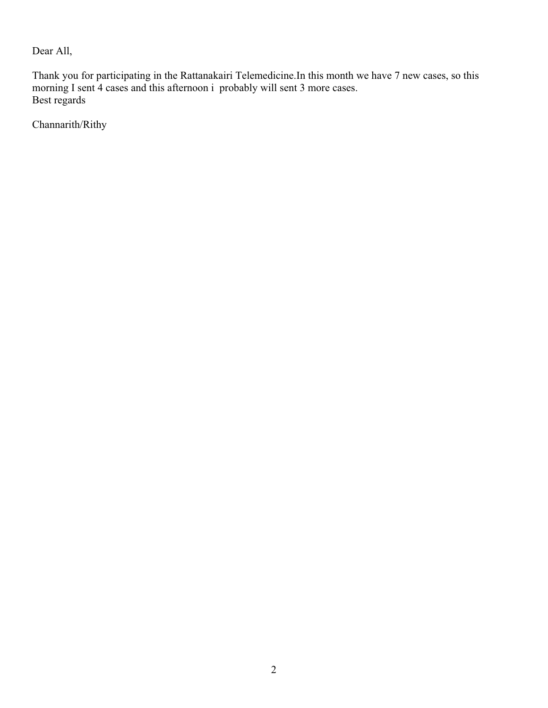Dear All,

Thank you for participating in the Rattanakairi Telemedicine.In this month we have 7 new cases, so this morning I sent 4 cases and this afternoon i probably will sent 3 more cases. Best regards

Channarith/Rithy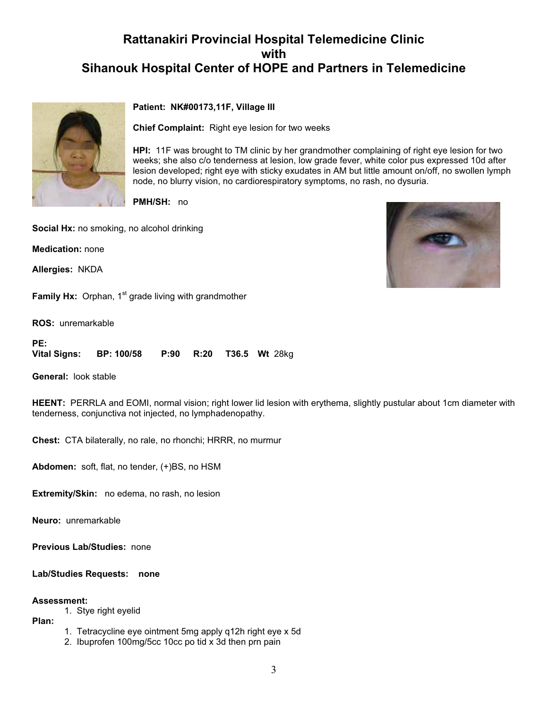

### **Patient: NK#00173,11F, Village III**

**Chief Complaint:** Right eye lesion for two weeks

**HPI:** 11F was brought to TM clinic by her grandmother complaining of right eye lesion for two weeks; she also c/o tenderness at lesion, low grade fever, white color pus expressed 10d after lesion developed; right eye with sticky exudates in AM but little amount on/off, no swollen lymph node, no blurry vision, no cardiorespiratory symptoms, no rash, no dysuria.

**PMH/SH:** no

**Social Hx:** no smoking, no alcohol drinking

**Medication:** none

**Allergies:** NKDA

**Family Hx:** Orphan, 1<sup>st</sup> grade living with grandmother

**ROS:** unremarkable

**PE: Vital Signs: BP: 100/58 P:90 R:20 T36.5 Wt** 28kg

**General:** look stable

**HEENT:** PERRLA and EOMI, normal vision; right lower lid lesion with erythema, slightly pustular about 1cm diameter with tenderness, conjunctiva not injected, no lymphadenopathy.

**Chest:** CTA bilaterally, no rale, no rhonchi; HRRR, no murmur

**Abdomen:** soft, flat, no tender, (+)BS, no HSM

**Extremity/Skin:** no edema, no rash, no lesion

**Neuro:** unremarkable

**Previous Lab/Studies:** none

### **Lab/Studies Requests: none**

### **Assessment:**

1. Stye right eyelid

**Plan:**

- 1. Tetracycline eye ointment 5mg apply q12h right eye x 5d
- 2. Ibuprofen 100mg/5cc 10cc po tid x 3d then prn pain

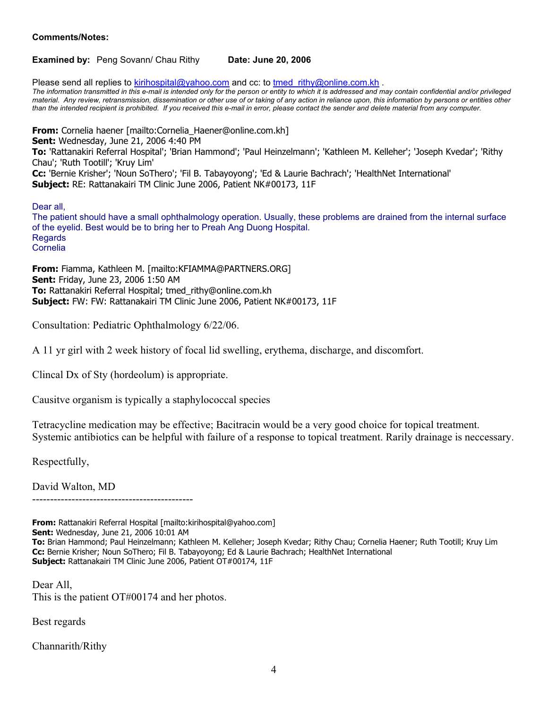### **Comments/Notes:**

**Examined by: Peng Sovann/ Chau Rithy Date: June 20, 2006** 

Please send all replies to kirihospital@yahoo.com and cc: to tmed rithy@online.com.kh . *The information transmitted in this e-mail is intended only for the person or entity to which it is addressed and may contain confidential and/or privileged material. Any review, retransmission, dissemination or other use of or taking of any action in reliance upon, this information by persons or entities other than the intended recipient is prohibited. If you received this e-mail in error, please contact the sender and delete material from any computer.*

**From:** Cornelia haener [mailto:Cornelia\_Haener@online.com.kh] **Sent:** Wednesday, June 21, 2006 4:40 PM **To:** 'Rattanakiri Referral Hospital'; 'Brian Hammond'; 'Paul Heinzelmann'; 'Kathleen M. Kelleher'; 'Joseph Kvedar'; 'Rithy Chau'; 'Ruth Tootill'; 'Kruy Lim' **Cc:** 'Bernie Krisher'; 'Noun SoThero'; 'Fil B. Tabayoyong'; 'Ed & Laurie Bachrach'; 'HealthNet International' **Subject:** RE: Rattanakairi TM Clinic June 2006, Patient NK#00173, 11F

Dear all,

The patient should have a small ophthalmology operation. Usually, these problems are drained from the internal surface of the eyelid. Best would be to bring her to Preah Ang Duong Hospital. **Regards** Cornelia

**From:** Fiamma, Kathleen M. [mailto:KFIAMMA@PARTNERS.ORG] **Sent:** Friday, June 23, 2006 1:50 AM **To:** Rattanakiri Referral Hospital; tmed\_rithy@online.com.kh **Subject:** FW: FW: Rattanakairi TM Clinic June 2006, Patient NK#00173, 11F

Consultation: Pediatric Ophthalmology 6/22/06.

A 11 yr girl with 2 week history of focal lid swelling, erythema, discharge, and discomfort.

Clincal Dx of Sty (hordeolum) is appropriate.

Causitve organism is typically a staphylococcal species

Tetracycline medication may be effective; Bacitracin would be a very good choice for topical treatment. Systemic antibiotics can be helpful with failure of a response to topical treatment. Rarily drainage is neccessary.

Respectfully,

David Walton, MD

---------------------------------------------

**From:** Rattanakiri Referral Hospital [mailto:kirihospital@yahoo.com]

**Sent:** Wednesday, June 21, 2006 10:01 AM

**To:** Brian Hammond; Paul Heinzelmann; Kathleen M. Kelleher; Joseph Kvedar; Rithy Chau; Cornelia Haener; Ruth Tootill; Kruy Lim **Cc:** Bernie Krisher; Noun SoThero; Fil B. Tabayoyong; Ed & Laurie Bachrach; HealthNet International **Subject:** Rattanakairi TM Clinic June 2006, Patient OT#00174, 11F

Dear All, This is the patient OT#00174 and her photos.

Best regards

Channarith/Rithy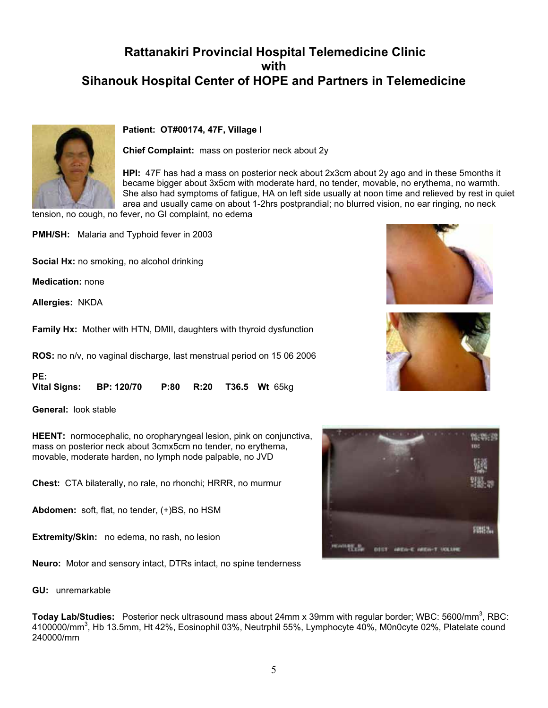

### **Patient: OT#00174, 47F, Village I**

**Chief Complaint:** mass on posterior neck about 2y

**HPI:** 47F has had a mass on posterior neck about 2x3cm about 2y ago and in these 5months it became bigger about 3x5cm with moderate hard, no tender, movable, no erythema, no warmth. She also had symptoms of fatigue, HA on left side usually at noon time and relieved by rest in quiet area and usually came on about 1-2hrs postprandial; no blurred vision, no ear ringing, no neck

tension, no cough, no fever, no GI complaint, no edema

**PMH/SH:** Malaria and Typhoid fever in 2003

**Social Hx:** no smoking, no alcohol drinking

**Medication:** none

**Allergies:** NKDA

**Family Hx:** Mother with HTN, DMII, daughters with thyroid dysfunction

**ROS:** no n/v, no vaginal discharge, last menstrual period on 15 06 2006

| PE: |                                                             |  |  |
|-----|-------------------------------------------------------------|--|--|
|     | Vital Signs: BP: 120/70    P:80    R:20    T36.5    Wt 65kg |  |  |

**General:** look stable

**HEENT:** normocephalic, no oropharyngeal lesion, pink on conjunctiva, mass on posterior neck about 3cmx5cm no tender, no erythema, movable, moderate harden, no lymph node palpable, no JVD

**Chest:** CTA bilaterally, no rale, no rhonchi; HRRR, no murmur

**Abdomen:** soft, flat, no tender, (+)BS, no HSM

**Extremity/Skin:** no edema, no rash, no lesion

**Neuro:** Motor and sensory intact, DTRs intact, no spine tenderness

**GU:** unremarkable

**Today Lab/Studies:** Posterior neck ultrasound mass about 24mm x 39mm with regular border; WBC: 5600/mm<sup>3</sup>, RBC: 4100000/mm $^3$ , Hb 13.5mm, Ht 42%, Eosinophil 03%, Neutrphil 55%, Lymphocyte 40%, M0n0cyte 02%, Platelate cound 240000/mm





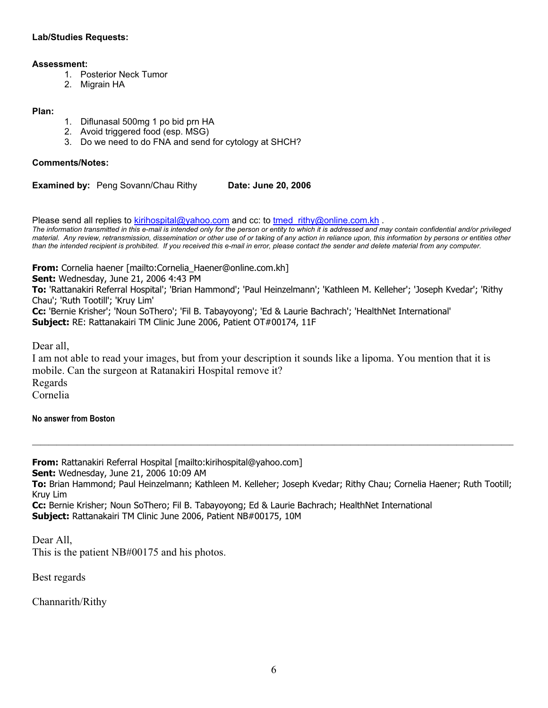### **Lab/Studies Requests:**

### **Assessment:**

- 1. Posterior Neck Tumor
- 2. Migrain HA

### **Plan:**

- 1. Diflunasal 500mg 1 po bid prn HA
- 2. Avoid triggered food (esp. MSG)
- 3. Do we need to do FNA and send for cytology at SHCH?

### **Comments/Notes:**

**Examined by: Peng Sovann/Chau Rithy Date: June 20, 2006** 

Please send all replies to kirihospital@yahoo.com and cc: to tmed\_rithy@online.com.kh .

*The information transmitted in this e-mail is intended only for the person or entity to which it is addressed and may contain confidential and/or privileged material. Any review, retransmission, dissemination or other use of or taking of any action in reliance upon, this information by persons or entities other than the intended recipient is prohibited. If you received this e-mail in error, please contact the sender and delete material from any computer.*

**From:** Cornelia haener [mailto:Cornelia\_Haener@online.com.kh]

**Sent:** Wednesday, June 21, 2006 4:43 PM

**To:** 'Rattanakiri Referral Hospital'; 'Brian Hammond'; 'Paul Heinzelmann'; 'Kathleen M. Kelleher'; 'Joseph Kvedar'; 'Rithy Chau'; 'Ruth Tootill'; 'Kruy Lim'

**Cc:** 'Bernie Krisher'; 'Noun SoThero'; 'Fil B. Tabayoyong'; 'Ed & Laurie Bachrach'; 'HealthNet International' **Subject:** RE: Rattanakairi TM Clinic June 2006, Patient OT#00174, 11F

Dear all,

I am not able to read your images, but from your description it sounds like a lipoma. You mention that it is mobile. Can the surgeon at Ratanakiri Hospital remove it? Regards Cornelia

**No answer from Boston** 

**From:** Rattanakiri Referral Hospital [mailto:kirihospital@yahoo.com] **Sent:** Wednesday, June 21, 2006 10:09 AM **To:** Brian Hammond; Paul Heinzelmann; Kathleen M. Kelleher; Joseph Kvedar; Rithy Chau; Cornelia Haener; Ruth Tootill; Kruy Lim **Cc:** Bernie Krisher; Noun SoThero; Fil B. Tabayoyong; Ed & Laurie Bachrach; HealthNet International **Subject:** Rattanakairi TM Clinic June 2006, Patient NB#00175, 10M

**\_\_\_\_\_\_\_\_\_\_\_\_\_\_\_\_\_\_\_\_\_\_\_\_\_\_\_\_\_\_\_\_\_\_\_\_\_\_\_\_\_\_\_\_\_\_\_\_\_\_\_\_\_\_\_\_\_\_\_\_\_\_\_\_\_\_\_\_\_\_\_\_\_\_\_\_\_\_\_\_\_\_\_\_\_\_\_\_\_\_\_\_\_\_\_\_\_\_\_\_\_\_\_\_\_\_\_\_\_\_\_\_\_\_\_\_\_\_**

Dear All, This is the patient NB#00175 and his photos.

Best regards

Channarith/Rithy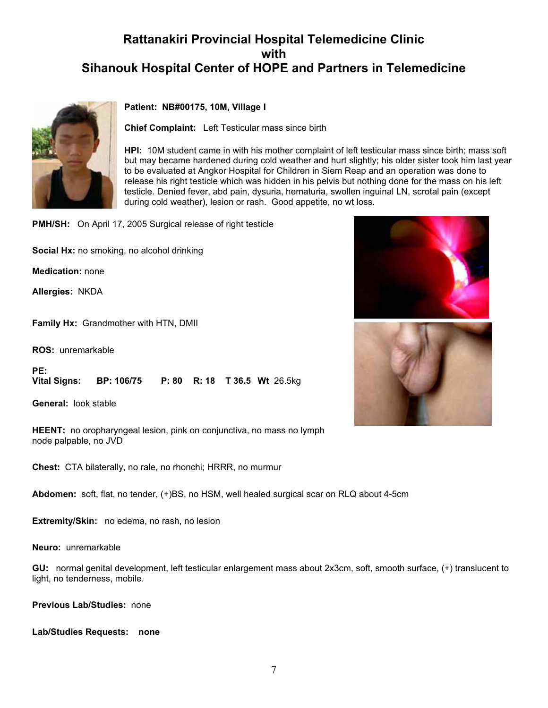

### **Patient: NB#00175, 10M, Village I**

**Chief Complaint:** Left Testicular mass since birth

**HPI:** 10M student came in with his mother complaint of left testicular mass since birth; mass soft but may became hardened during cold weather and hurt slightly; his older sister took him last year to be evaluated at Angkor Hospital for Children in Siem Reap and an operation was done to release his right testicle which was hidden in his pelvis but nothing done for the mass on his left testicle. Denied fever, abd pain, dysuria, hematuria, swollen inguinal LN, scrotal pain (except during cold weather), lesion or rash. Good appetite, no wt loss.

**PMH/SH:** On April 17, 2005 Surgical release of right testicle

**Social Hx:** no smoking, no alcohol drinking

**Medication:** none

**Allergies:** NKDA

**Family Hx:** Grandmother with HTN, DMII

**ROS:** unremarkable

**PE: Vital Signs: BP: 106/75 P: 80 R: 18 T 36.5 Wt** 26.5kg

**General:** look stable

**HEENT:** no oropharyngeal lesion, pink on conjunctiva, no mass no lymph node palpable, no JVD

**Chest:** CTA bilaterally, no rale, no rhonchi; HRRR, no murmur

**Abdomen:** soft, flat, no tender, (+)BS, no HSM, well healed surgical scar on RLQ about 4-5cm

**Extremity/Skin:** no edema, no rash, no lesion

**Neuro:** unremarkable

**GU:** normal genital development, left testicular enlargement mass about 2x3cm, soft, smooth surface, (+) translucent to light, no tenderness, mobile.

**Previous Lab/Studies:** none

**Lab/Studies Requests: none**



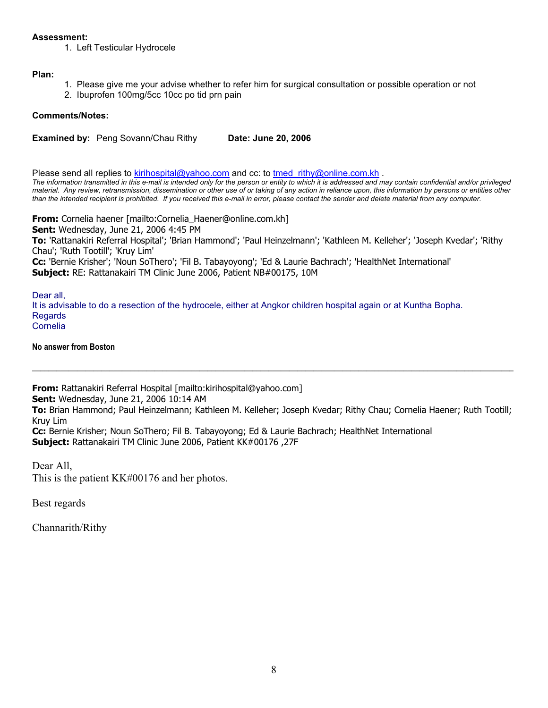### **Assessment:**

1. Left Testicular Hydrocele

### **Plan:**

- 1. Please give me your advise whether to refer him for surgical consultation or possible operation or not
- 2. Ibuprofen 100mg/5cc 10cc po tid prn pain

### **Comments/Notes:**

**Examined by: Peng Sovann/Chau Rithy Date: June 20, 2006** 

Please send all replies to kirihospital@yahoo.com and cc: to tmed rithy@online.com.kh . *The information transmitted in this e-mail is intended only for the person or entity to which it is addressed and may contain confidential and/or privileged* 

*material. Any review, retransmission, dissemination or other use of or taking of any action in reliance upon, this information by persons or entities other than the intended recipient is prohibited. If you received this e-mail in error, please contact the sender and delete material from any computer.*

**From:** Cornelia haener [mailto:Cornelia\_Haener@online.com.kh] **Sent:** Wednesday, June 21, 2006 4:45 PM **To:** 'Rattanakiri Referral Hospital'; 'Brian Hammond'; 'Paul Heinzelmann'; 'Kathleen M. Kelleher'; 'Joseph Kvedar'; 'Rithy Chau'; 'Ruth Tootill'; 'Kruy Lim' **Cc:** 'Bernie Krisher'; 'Noun SoThero'; 'Fil B. Tabayoyong'; 'Ed & Laurie Bachrach'; 'HealthNet International' **Subject:** RE: Rattanakairi TM Clinic June 2006, Patient NB#00175, 10M

Dear all,

It is advisable to do a resection of the hydrocele, either at Angkor children hospital again or at Kuntha Bopha. Regards Cornelia

**No answer from Boston** 

**From:** Rattanakiri Referral Hospital [mailto:kirihospital@yahoo.com]

**Sent:** Wednesday, June 21, 2006 10:14 AM

**To:** Brian Hammond; Paul Heinzelmann; Kathleen M. Kelleher; Joseph Kvedar; Rithy Chau; Cornelia Haener; Ruth Tootill; Kruy Lim

**\_\_\_\_\_\_\_\_\_\_\_\_\_\_\_\_\_\_\_\_\_\_\_\_\_\_\_\_\_\_\_\_\_\_\_\_\_\_\_\_\_\_\_\_\_\_\_\_\_\_\_\_\_\_\_\_\_\_\_\_\_\_\_\_\_\_\_\_\_\_\_\_\_\_\_\_\_\_\_\_\_\_\_\_\_\_\_\_\_\_\_\_\_\_\_\_\_\_\_\_\_\_\_\_\_\_\_\_\_\_\_\_\_\_\_\_\_\_**

**Cc:** Bernie Krisher; Noun SoThero; Fil B. Tabayoyong; Ed & Laurie Bachrach; HealthNet International **Subject:** Rattanakairi TM Clinic June 2006, Patient KK#00176 ,27F

Dear All,

This is the patient KK#00176 and her photos.

Best regards

Channarith/Rithy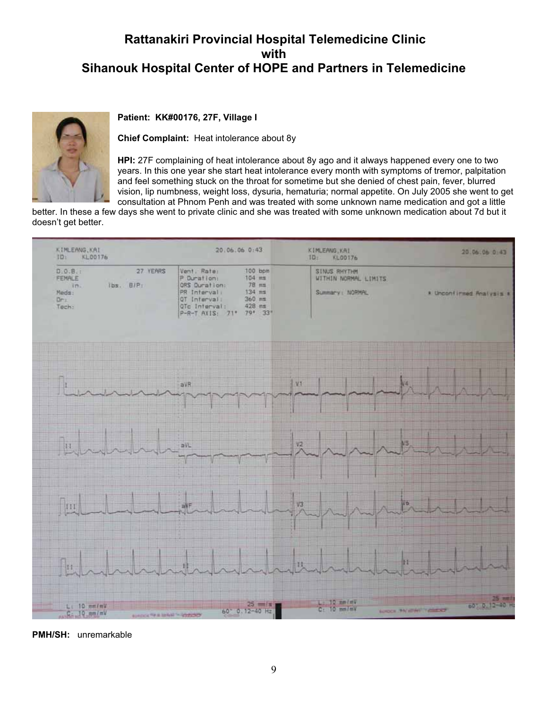

### **Patient: KK#00176, 27F, Village I**

**Chief Complaint:** Heat intolerance about 8y

**HPI:** 27F complaining of heat intolerance about 8y ago and it always happened every one to two years. In this one year she start heat intolerance every month with symptoms of tremor, palpitation and feel something stuck on the throat for sometime but she denied of chest pain, fever, blurred vision, lip numbness, weight loss, dysuria, hematuria; normal appetite. On July 2005 she went to get consultation at Phnom Penh and was treated with some unknown name medication and got a little

better. In these a few days she went to private clinic and she was treated with some unknown medication about 7d but it doesn't get better.



**PMH/SH:** unremarkable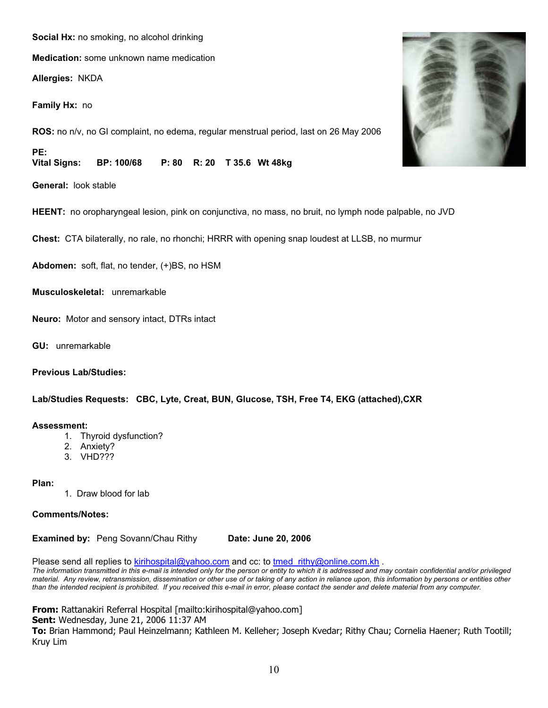### **Social Hx:** no smoking, no alcohol drinking

**Medication:** some unknown name medication

**Allergies:** NKDA

**Family Hx:** no

**ROS:** no n/v, no GI complaint, no edema, regular menstrual period, last on 26 May 2006

**PE: Vital Signs: BP: 100/68 P: 80 R: 20 T 35.6 Wt 48kg**

**General:** look stable

**HEENT:** no oropharyngeal lesion, pink on conjunctiva, no mass, no bruit, no lymph node palpable, no JVD

**Chest:** CTA bilaterally, no rale, no rhonchi; HRRR with opening snap loudest at LLSB, no murmur

**Abdomen:** soft, flat, no tender, (+)BS, no HSM

**Musculoskeletal:** unremarkable

**Neuro:** Motor and sensory intact, DTRs intact

**GU:** unremarkable

**Previous Lab/Studies:**

**Lab/Studies Requests: CBC, Lyte, Creat, BUN, Glucose, TSH, Free T4, EKG (attached),CXR** 

### **Assessment:**

- 1. Thyroid dysfunction?
- 2. Anxiety?
- 3. VHD???

### **Plan:**

1. Draw blood for lab

### **Comments/Notes:**

**Examined by: Peng Sovann/Chau Rithy Date: June 20, 2006** 

Please send all replies to kirihospital@yahoo.com and cc: to tmed rithy@online.com.kh .

*The information transmitted in this e-mail is intended only for the person or entity to which it is addressed and may contain confidential and/or privileged material. Any review, retransmission, dissemination or other use of or taking of any action in reliance upon, this information by persons or entities other than the intended recipient is prohibited. If you received this e-mail in error, please contact the sender and delete material from any computer.*

**From:** Rattanakiri Referral Hospital [mailto:kirihospital@yahoo.com] **Sent:** Wednesday, June 21, 2006 11:37 AM **To:** Brian Hammond; Paul Heinzelmann; Kathleen M. Kelleher; Joseph Kvedar; Rithy Chau; Cornelia Haener; Ruth Tootill; Kruy Lim

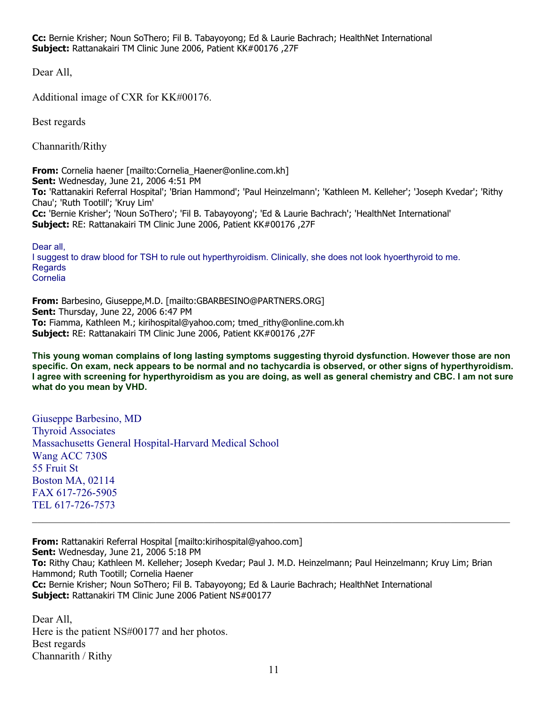**Cc:** Bernie Krisher; Noun SoThero; Fil B. Tabayoyong; Ed & Laurie Bachrach; HealthNet International **Subject:** Rattanakairi TM Clinic June 2006, Patient KK#00176 ,27F

Dear All,

Additional image of CXR for KK#00176.

Best regards

Channarith/Rithy

**From:** Cornelia haener [mailto:Cornelia\_Haener@online.com.kh] **Sent:** Wednesday, June 21, 2006 4:51 PM **To:** 'Rattanakiri Referral Hospital'; 'Brian Hammond'; 'Paul Heinzelmann'; 'Kathleen M. Kelleher'; 'Joseph Kvedar'; 'Rithy Chau'; 'Ruth Tootill'; 'Kruy Lim' **Cc:** 'Bernie Krisher'; 'Noun SoThero'; 'Fil B. Tabayoyong'; 'Ed & Laurie Bachrach'; 'HealthNet International' **Subject:** RE: Rattanakairi TM Clinic June 2006, Patient KK#00176 ,27F

Dear all, I suggest to draw blood for TSH to rule out hyperthyroidism. Clinically, she does not look hyoerthyroid to me. Regards Cornelia

**From:** Barbesino, Giuseppe,M.D. [mailto:GBARBESINO@PARTNERS.ORG] **Sent:** Thursday, June 22, 2006 6:47 PM **To:** Fiamma, Kathleen M.; kirihospital@yahoo.com; tmed\_rithy@online.com.kh **Subject:** RE: Rattanakairi TM Clinic June 2006, Patient KK#00176 ,27F

**This young woman complains of long lasting symptoms suggesting thyroid dysfunction. However those are non specific. On exam, neck appears to be normal and no tachycardia is observed, or other signs of hyperthyroidism. I agree with screening for hyperthyroidism as you are doing, as well as general chemistry and CBC. I am not sure what do you mean by VHD.** 

Giuseppe Barbesino, MD Thyroid Associates Massachusetts General Hospital-Harvard Medical School Wang ACC 730S 55 Fruit St Boston MA, 02114 FAX 617-726-5905 TEL 617-726-7573

**From:** Rattanakiri Referral Hospital [mailto:kirihospital@yahoo.com] **Sent:** Wednesday, June 21, 2006 5:18 PM **To:** Rithy Chau; Kathleen M. Kelleher; Joseph Kvedar; Paul J. M.D. Heinzelmann; Paul Heinzelmann; Kruy Lim; Brian Hammond; Ruth Tootill; Cornelia Haener **Cc:** Bernie Krisher; Noun SoThero; Fil B. Tabayoyong; Ed & Laurie Bachrach; HealthNet International **Subject:** Rattanakiri TM Clinic June 2006 Patient NS#00177

\_\_\_\_\_\_\_\_\_\_\_\_\_\_\_\_\_\_\_\_\_\_\_\_\_\_\_\_\_\_\_\_\_\_\_\_\_\_\_\_\_\_\_\_\_\_\_\_\_\_\_\_\_\_\_\_\_\_\_\_\_\_\_\_\_\_\_\_\_\_\_\_\_\_\_\_\_\_\_\_\_\_\_\_\_\_\_\_\_

Dear All, Here is the patient NS#00177 and her photos. Best regards Channarith / Rithy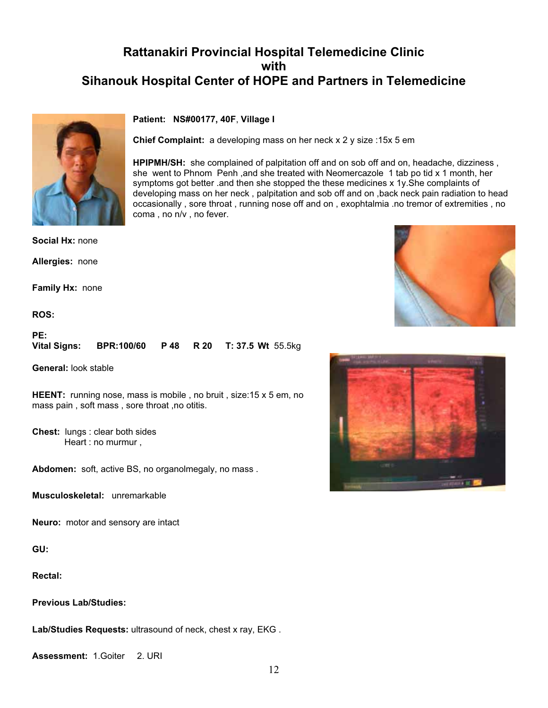### **Patient: NS#00177, 40F**, **Village I**

**Chief Complaint:** a developing mass on her neck x 2 y size :15x 5 em

**HPIPMH/SH:** she complained of palpitation off and on sob off and on, headache, dizziness , she went to Phnom Penh ,and she treated with Neomercazole 1 tab po tid x 1 month, her symptoms got better .and then she stopped the these medicines x 1y. She complaints of developing mass on her neck , palpitation and sob off and on ,back neck pain radiation to head occasionally , sore throat , running nose off and on , exophtalmia .no tremor of extremities , no coma , no n/v , no fever.

**Social Hx:** none

**Allergies:** none

**Family Hx:** none

**ROS:**

**PE:**

| <b>Vital Signs:</b> | <b>BPR:100/60 P48 R20 T:37.5 Wt 55.5kg</b> |  |  |  |  |
|---------------------|--------------------------------------------|--|--|--|--|
|---------------------|--------------------------------------------|--|--|--|--|

**General:** look stable

**HEENT:** running nose, mass is mobile, no bruit, size:15 x 5 em, no mass pain , soft mass , sore throat ,no otitis.

**Chest:** lungs : clear both sides Heart : no murmur ,

**Abdomen:** soft, active BS, no organolmegaly, no mass .

**Musculoskeletal:** unremarkable

**Neuro:** motor and sensory are intact

**GU:**

**Rectal:**

**Previous Lab/Studies:**

**Lab/Studies Requests:** ultrasound of neck, chest x ray, EKG .

**Assessment:** 1.Goiter 2. URI





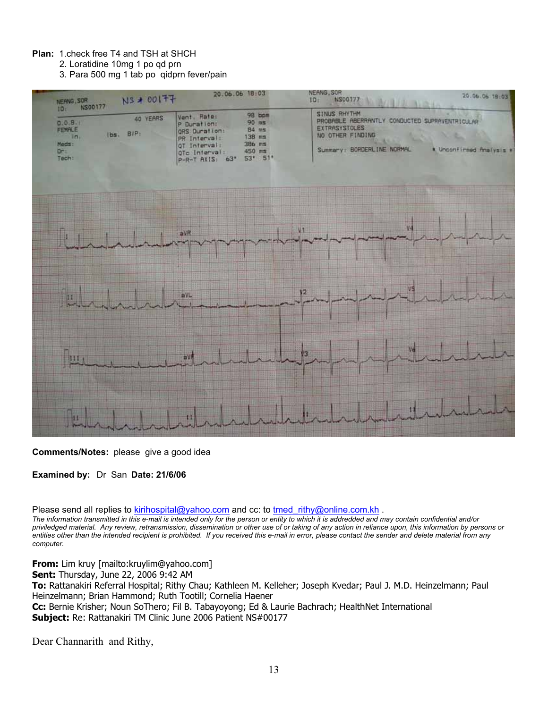### **Plan:** 1.check free T4 and TSH at SHCH

2. Loratidine 10mg 1 po qd prn

3. Para 500 mg 1 tab po qidprn fever/pain



**Comments/Notes:** please give a good idea

**Examined by:** Dr San **Date: 21/6/06**

Please send all replies to kirihospital@yahoo.com and cc: to tmed rithy@online.com.kh .

*The information transmitted in this e-mail is intended only for the person or entity to which it is addredded and may contain confidential and/or priviledged material. Any review, retransmission, dissemination or other use of or taking of any action in reliance upon, this information by persons or entities other than the intended recipient is prohibited. If you received this e-mail in error, please contact the sender and delete material from any computer.*

**From:** Lim kruy [mailto:kruylim@yahoo.com]

**Sent:** Thursday, June 22, 2006 9:42 AM

**To:** Rattanakiri Referral Hospital; Rithy Chau; Kathleen M. Kelleher; Joseph Kvedar; Paul J. M.D. Heinzelmann; Paul Heinzelmann; Brian Hammond; Ruth Tootill; Cornelia Haener **Cc:** Bernie Krisher; Noun SoThero; Fil B. Tabayoyong; Ed & Laurie Bachrach; HealthNet International **Subject:** Re: Rattanakiri TM Clinic June 2006 Patient NS#00177

Dear Channarith and Rithy,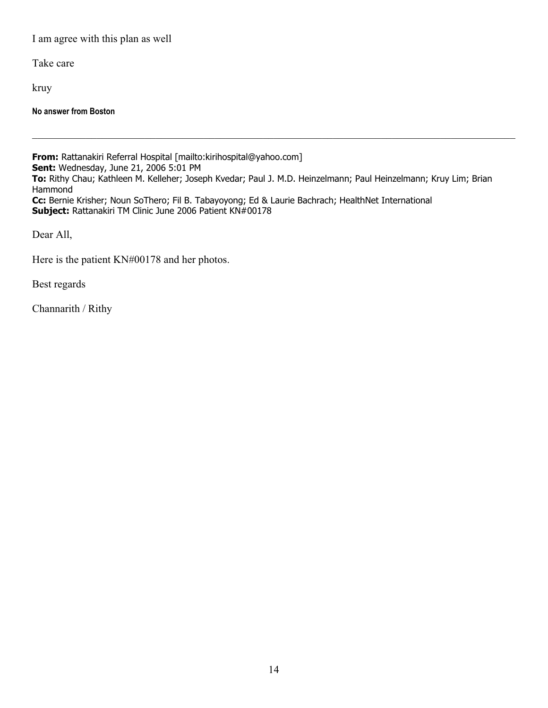I am agree with this plan as well

Take care

kruy

**No answer from Boston**

**From:** Rattanakiri Referral Hospital [mailto:kirihospital@yahoo.com] **Sent:** Wednesday, June 21, 2006 5:01 PM **To:** Rithy Chau; Kathleen M. Kelleher; Joseph Kvedar; Paul J. M.D. Heinzelmann; Paul Heinzelmann; Kruy Lim; Brian Hammond **Cc:** Bernie Krisher; Noun SoThero; Fil B. Tabayoyong; Ed & Laurie Bachrach; HealthNet International **Subject:** Rattanakiri TM Clinic June 2006 Patient KN#00178

Dear All,

Here is the patient KN#00178 and her photos.

Best regards

Channarith / Rithy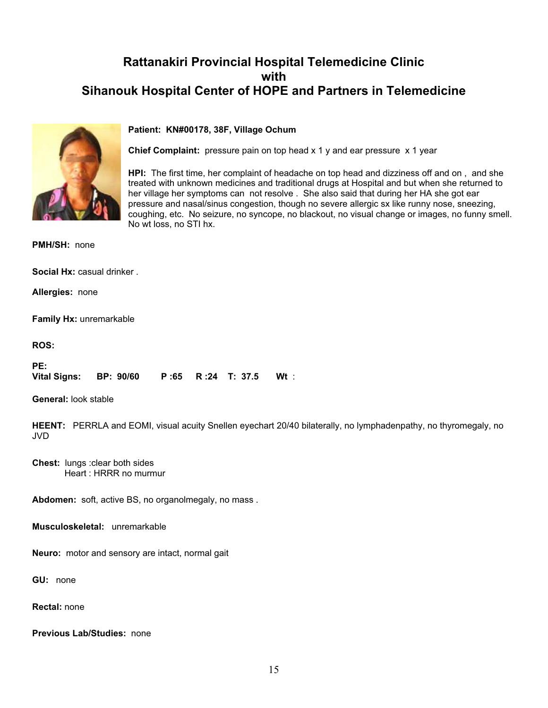

### **Patient: KN#00178, 38F, Village Ochum**

**Chief Complaint:** pressure pain on top head x 1 y and ear pressure x 1 year

**HPI:** The first time, her complaint of headache on top head and dizziness off and on , and she treated with unknown medicines and traditional drugs at Hospital and but when she returned to her village her symptoms can not resolve . She also said that during her HA she got ear pressure and nasal/sinus congestion, though no severe allergic sx like runny nose, sneezing, coughing, etc. No seizure, no syncope, no blackout, no visual change or images, no funny smell. No wt loss, no STI hx.

**PMH/SH:** none

**Social Hx:** casual drinker .

**Allergies:** none

**Family Hx:** unremarkable

**ROS:**

**PE: Vital Signs: BP: 90/60 P :65 R :24 T: 37.5 Wt** :

**General:** look stable

**HEENT:** PERRLA and EOMI, visual acuity Snellen eyechart 20/40 bilaterally, no lymphadenpathy, no thyromegaly, no JVD

**Chest:** lungs :clear both sides Heart : HRRR no murmur

**Abdomen:** soft, active BS, no organolmegaly, no mass .

**Musculoskeletal:** unremarkable

**Neuro:** motor and sensory are intact, normal gait

**GU:** none

**Rectal:** none

**Previous Lab/Studies:** none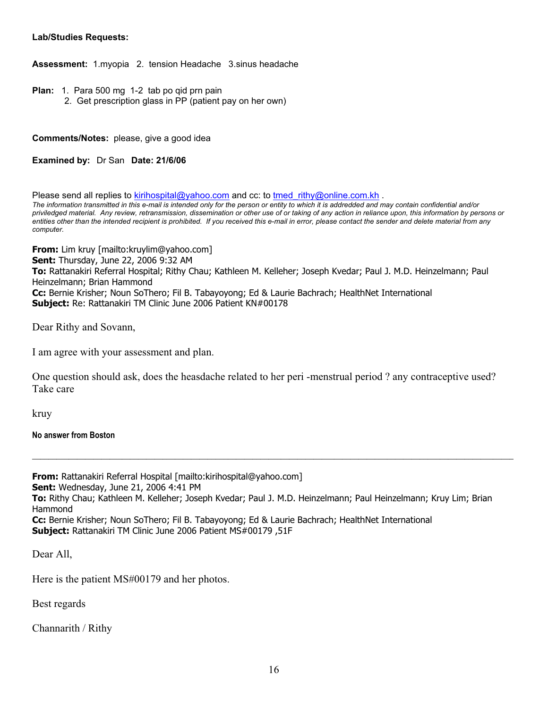### **Lab/Studies Requests:**

**Assessment:** 1.myopia 2. tension Headache 3.sinus headache

- **Plan:** 1. Para 500 mg 1-2 tab po qid prn pain
	- 2. Get prescription glass in PP (patient pay on her own)

**Comments/Notes:** please, give a good idea

**Examined by:** Dr San **Date: 21/6/06**

Please send all replies to kirihospital@yahoo.com and cc: to tmed\_rithy@online.com.kh . *The information transmitted in this e-mail is intended only for the person or entity to which it is addredded and may contain confidential and/or priviledged material. Any review, retransmission, dissemination or other use of or taking of any action in reliance upon, this information by persons or entities other than the intended recipient is prohibited. If you received this e-mail in error, please contact the sender and delete material from any computer.*

**From:** Lim kruy [mailto:kruylim@yahoo.com] **Sent:** Thursday, June 22, 2006 9:32 AM **To:** Rattanakiri Referral Hospital; Rithy Chau; Kathleen M. Kelleher; Joseph Kvedar; Paul J. M.D. Heinzelmann; Paul Heinzelmann; Brian Hammond **Cc:** Bernie Krisher; Noun SoThero; Fil B. Tabayoyong; Ed & Laurie Bachrach; HealthNet International **Subject:** Re: Rattanakiri TM Clinic June 2006 Patient KN#00178

Dear Rithy and Sovann,

I am agree with your assessment and plan.

One question should ask, does the heasdache related to her peri -menstrual period ? any contraceptive used? Take care

kruy

**No answer from Boston** 

**From:** Rattanakiri Referral Hospital [mailto:kirihospital@yahoo.com] **Sent:** Wednesday, June 21, 2006 4:41 PM **To:** Rithy Chau; Kathleen M. Kelleher; Joseph Kvedar; Paul J. M.D. Heinzelmann; Paul Heinzelmann; Kruy Lim; Brian Hammond **Cc:** Bernie Krisher; Noun SoThero; Fil B. Tabayoyong; Ed & Laurie Bachrach; HealthNet International **Subject:** Rattanakiri TM Clinic June 2006 Patient MS#00179 ,51F

**\_\_\_\_\_\_\_\_\_\_\_\_\_\_\_\_\_\_\_\_\_\_\_\_\_\_\_\_\_\_\_\_\_\_\_\_\_\_\_\_\_\_\_\_\_\_\_\_\_\_\_\_\_\_\_\_\_\_\_\_\_\_\_\_\_\_\_\_\_\_\_\_\_\_\_\_\_\_\_\_\_\_\_\_\_\_\_\_\_\_\_\_\_\_\_\_\_\_\_\_\_\_\_\_\_\_\_\_\_\_\_\_\_\_\_\_\_\_**

Dear All,

Here is the patient MS#00179 and her photos.

Best regards

Channarith / Rithy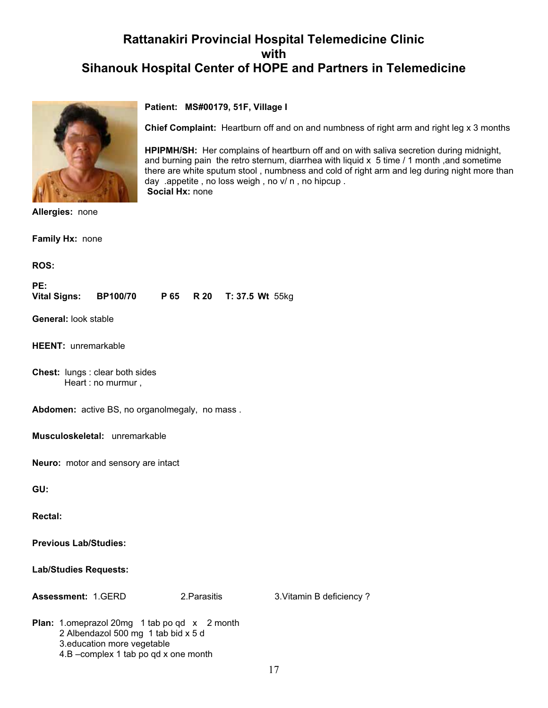**Chief Complaint:** Heartburn off and on and numbness of right arm and right leg x 3 months

**HPIPMH/SH:** Her complains of heartburn off and on with saliva secretion during midnight, and burning pain the retro sternum, diarrhea with liquid  $x$  5 time  $/1$  month ,and sometime there are white sputum stool , numbness and cold of right arm and leg during night more than

**Patient: MS#00179, 51F, Village I** 

day .appetite , no loss weigh , no v/ n , no hipcup .



**Allergies:** none

**Family Hx:** none

**ROS:**

**PE: Vital Signs: BP100/70 P 65 R 20 T: 37.5 Wt** 55kg

 **Social Hx:** none

**General:** look stable

**HEENT:** unremarkable

**Chest:** lungs : clear both sides Heart : no murmur ,

**Abdomen:** active BS, no organolmegaly, no mass .

**Musculoskeletal:** unremarkable

**Neuro:** motor and sensory are intact

**GU:**

**Rectal:**

**Previous Lab/Studies:**

**Lab/Studies Requests:**

**Assessment:** 1.GERD 2.Parasitis 3.Vitamin B deficiency ?

**Plan:** 1.omeprazol 20mg 1 tab po qd x 2 month 2 Albendazol 500 mg 1 tab bid x 5 d 3.education more vegetable 4.B –complex 1 tab po qd x one month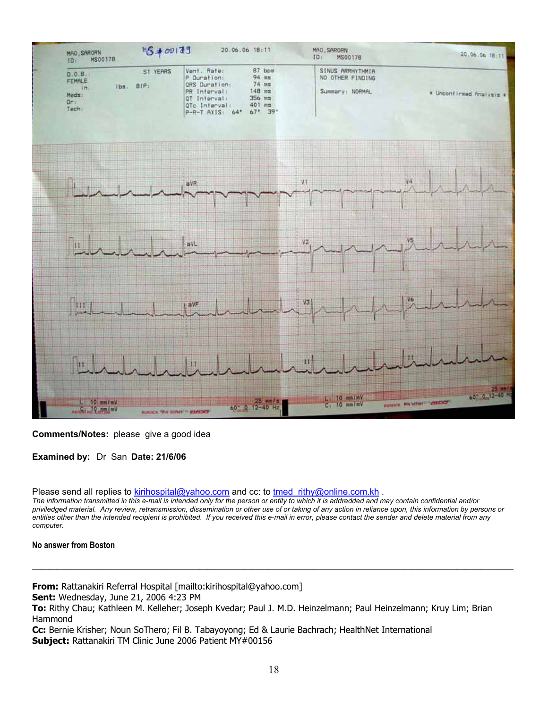

### **Comments/Notes:** please give a good idea

**Examined by:** Dr San **Date: 21/6/06**

Please send all replies to kirihospital@yahoo.com and cc: to tmed\_rithy@online.com.kh .

*The information transmitted in this e-mail is intended only for the person or entity to which it is addredded and may contain confidential and/or priviledged material. Any review, retransmission, dissemination or other use of or taking of any action in reliance upon, this information by persons or entities other than the intended recipient is prohibited. If you received this e-mail in error, please contact the sender and delete material from any computer.*

**\_\_\_\_\_\_\_\_\_\_\_\_\_\_\_\_\_\_\_\_\_\_\_\_\_\_\_\_\_\_\_\_\_\_\_\_\_\_\_\_\_\_\_\_\_\_\_\_\_\_\_\_\_\_\_\_\_\_\_\_\_\_\_\_\_\_\_\_\_\_\_\_\_\_\_\_\_\_\_\_\_\_\_\_\_\_\_\_\_\_\_\_\_\_\_\_\_\_\_\_\_\_\_\_\_\_\_\_\_\_\_\_\_\_\_\_\_\_**

### **No answer from Boston**

**From:** Rattanakiri Referral Hospital [mailto:kirihospital@yahoo.com]

**Sent:** Wednesday, June 21, 2006 4:23 PM

**To:** Rithy Chau; Kathleen M. Kelleher; Joseph Kvedar; Paul J. M.D. Heinzelmann; Paul Heinzelmann; Kruy Lim; Brian Hammond

**Cc:** Bernie Krisher; Noun SoThero; Fil B. Tabayoyong; Ed & Laurie Bachrach; HealthNet International **Subject:** Rattanakiri TM Clinic June 2006 Patient MY#00156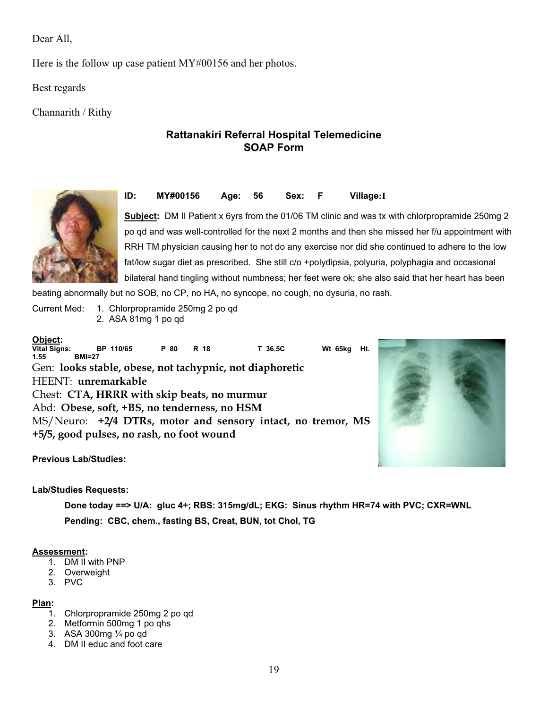Dear All,

Here is the follow up case patient MY#00156 and her photos.

Best regards

Channarith / Rithy

### **Rattanakiri Referral Hospital Telemedicine SOAP Form**





**Subject:** DM II Patient x 6yrs from the 01/06 TM clinic and was tx with chlorpropramide 250mg 2 po qd and was well-controlled for the next 2 months and then she missed her f/u appointment with RRH TM physician causing her to not do any exercise nor did she continued to adhere to the low fat/low sugar diet as prescribed. She still c/o +polydipsia, polyuria, polyphagia and occasional bilateral hand tingling without numbness; her feet were ok; she also said that her heart has been

beating abnormally but no SOB, no CP, no HA, no syncope, no cough, no dysuria, no rash.

Current Med: 1. Chlorpropramide 250mg 2 po qd 2. ASA 81mg 1 po qd

**Object: Vital Signs: BP 110/65 P 80 R 18 T 36.5C Wt 65kg Ht. 1.55 BMI=27**  Gen: **looks stable, obese, not tachypnic, not diaphoretic**  HEENT: **unremarkable** Chest: **CTA, HRRR with skip beats, no murmur**  Abd: **Obese, soft, +BS, no tenderness, no HSM**  MS/Neuro: **+2/4 DTRs, motor and sensory intact, no tremor, MS +5/5, good pulses, no rash, no foot wound** 



**Previous Lab/Studies:** 

### **Lab/Studies Requests:**

 **Done today ==> U/A: gluc 4+; RBS: 315mg/dL; EKG: Sinus rhythm HR=74 with PVC; CXR=WNL Pending: CBC, chem., fasting BS, Creat, BUN, tot Chol, TG**

### **Assessment:**

- 1. DM II with PNP
- 2. Overweight
- 3. PVC

### **Plan:**

- 1. Chlorpropramide 250mg 2 po qd
- 2. Metformin 500mg 1 po qhs
- 3. ASA 300mg ¼ po qd
- 4. DM II educ and foot care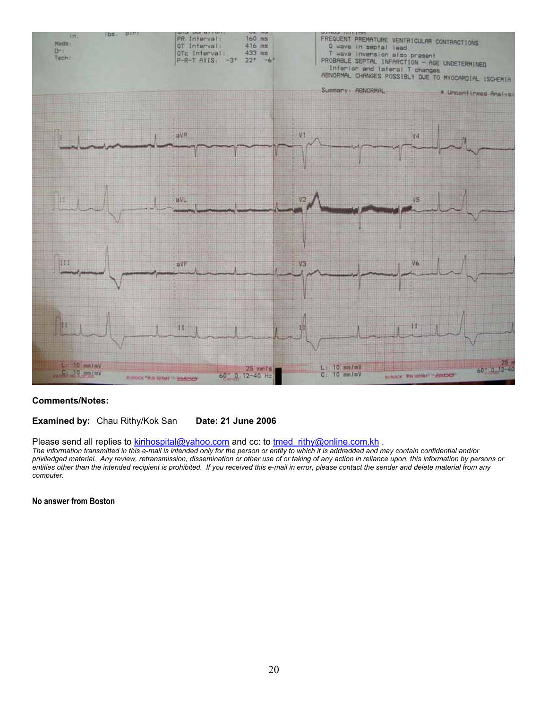

### **Comments/Notes:**

### **Examined by:** Chau Rithy/Kok San **Date: 21 June 2006**

Please send all replies to **kirihospital@yahoo.com** and cc: to tmed\_rithy@online.com.kh .

*The information transmitted in this e-mail is intended only for the person or entity to which it is addredded and may contain confidential and/or priviledged material. Any review, retransmission, dissemination or other use of or taking of any action in reliance upon, this information by persons or entities other than the intended recipient is prohibited. If you received this e-mail in error, please contact the sender and delete material from any computer.*

**No answer from Boston**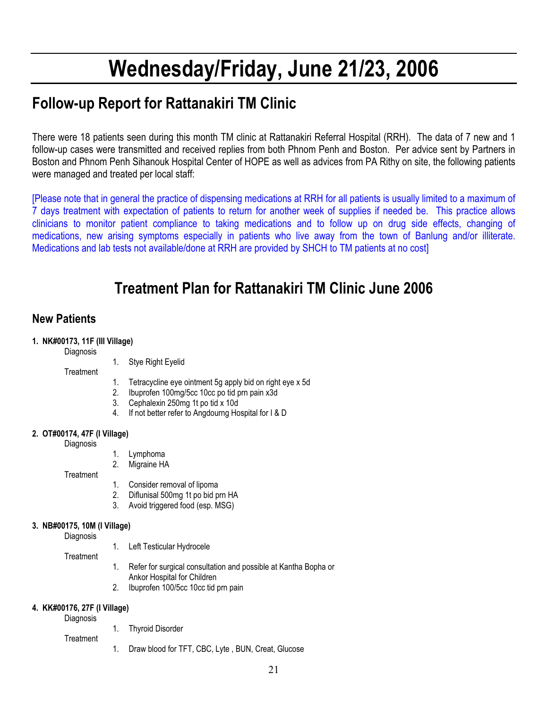# **Wednesday/Friday, June 21/23, 2006**

## **Follow-up Report for Rattanakiri TM Clinic**

There were 18 patients seen during this month TM clinic at Rattanakiri Referral Hospital (RRH). The data of 7 new and 1 follow-up cases were transmitted and received replies from both Phnom Penh and Boston. Per advice sent by Partners in Boston and Phnom Penh Sihanouk Hospital Center of HOPE as well as advices from PA Rithy on site, the following patients were managed and treated per local staff:

[Please note that in general the practice of dispensing medications at RRH for all patients is usually limited to a maximum of 7 days treatment with expectation of patients to return for another week of supplies if needed be. This practice allows clinicians to monitor patient compliance to taking medications and to follow up on drug side effects, changing of medications, new arising symptoms especially in patients who live away from the town of Banlung and/or illiterate. Medications and lab tests not available/done at RRH are provided by SHCH to TM patients at no cost]

## **Treatment Plan for Rattanakiri TM Clinic June 2006**

## **New Patients**

### **1. NK#00173, 11F (III Village)**

**Diagnosis** 

**Treatment** 

- 1. Stye Right Eyelid
- 1. Tetracycline eye ointment 5g apply bid on right eye x 5d
- 2. Ibuprofen 100mg/5cc 10cc po tid prn pain x3d
- 3. Cephalexin 250mg 1t po tid x 10d
- 4. If not better refer to Angdourng Hospital for I & D

### **2. OT#00174, 47F (I Village)**

**Diagnosis** 

- 1. Lymphoma
- 2. Migraine HA

**Treatment** 

- 1. Consider removal of lipoma
- 2. Diflunisal 500mg 1t po bid prn HA
- 3. Avoid triggered food (esp. MSG)

### **3. NB#00175, 10M (I Village)**

**Diagnosis** 

1. Left Testicular Hydrocele

**Treatment** 

- 
- 
- 
- 1. Refer for surgical consultation and possible at Kantha Bopha or Ankor Hospital for Children
- 2. Ibuprofen 100/5cc 10cc tid prn pain

### **4. KK#00176, 27F (I Village)**

Diagnosis

**Treatment** 

- 1. Thyroid Disorder
- 1. Draw blood for TFT, CBC, Lyte , BUN, Creat, Glucose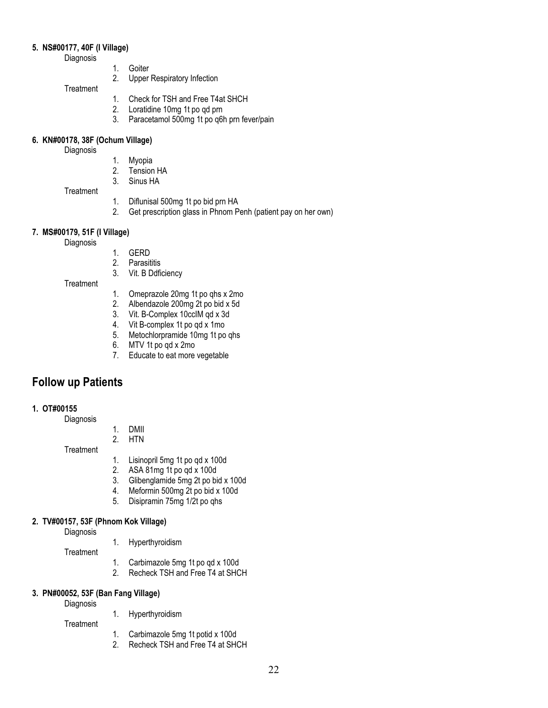### **5. NS#00177, 40F (I Village)**

Diagnosis

- 1. Goiter
- 2. Upper Respiratory Infection

### **Treatment**

- 1. Check for TSH and Free T4at SHCH
- 2. Loratidine 10mg 1t po qd prn
- 3. Paracetamol 500mg 1t po q6h prn fever/pain

### **6. KN#00178, 38F (Ochum Village)**

**Diagnosis** 

- 1. Myopia
- **Tension HA**
- 3. Sinus HA

**Treatment** 

- 1. Diflunisal 500mg 1t po bid prn HA<br>2. Get prescription glass in Phnom P
- Get prescription glass in Phnom Penh (patient pay on her own)

### **7. MS#00179, 51F (I Village)**

**Diagnosis** 

- 1. GERD
- 2. Parasititis
- 3. Vit. B Ddficiency

**Treatment** 

- 1. Omeprazole 20mg 1t po qhs x 2mo
- 2. Albendazole 200mg 2t po bid x 5d<br>3. Vit. B-Complex 10cclM gd x 3d
- 3. Vit. B-Complex 10cclM qd x 3d<br>4. Vit B-complex 1t po qd x 1mo
- 4. Vit B-complex 1t po qd x 1mo<br>5. Metochlorpramide 10mg 1t po
- 5. Metochlorpramide 10mg 1t po qhs<br>6. MTV 1t po qd x 2mo
- MTV 1t po qd x 2mo
- 7. Educate to eat more vegetable

## **Follow up Patients**

### **1. OT#00155**

Diagnosis

1. DMII 2. HTN

**Treatment** 

- 1. Lisinopril 5mg 1t po qd x 100d
- 2. ASA 81mg 1t po qd x 100d
- 3. Glibenglamide 5mg 2t po bid x 100d
- 4. Meformin 500mg 2t po bid x 100d
- 5. Disipramin 75mg 1/2t po qhs

### **2. TV#00157, 53F (Phnom Kok Village)**

**Diagnosis** 

1. Hyperthyroidism

**Treatment** 

- 1. Carbimazole 5mg 1t po qd x 100d
- 2. Recheck TSH and Free T4 at SHCH

### **3. PN#00052, 53F (Ban Fang Village)**

Diagnosis

- 1. Hyperthyroidism
- **Treatment** 
	- 1. Carbimazole 5mg 1t potid x 100d
	- 2. Recheck TSH and Free T4 at SHCH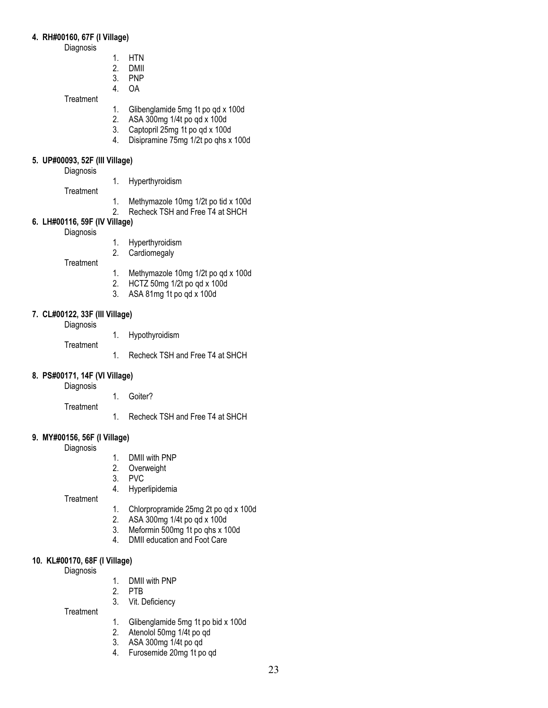### **4. RH#00160, 67F (I Village)**

Diagnosis

- 1. HTN<br>2. DMII
- 2. DMII<br>3. PNP
- 3. PNP
- 4. OA

**Treatment** 

- 1. Glibenglamide 5mg 1t po qd x 100d<br>2. ASA 300mg 1/4t po qd x 100d
- 2. ASA 300mg 1/4t po qd x 100d
- 3. Captopril 25mg 1t po qd x 100d<br>4 Disipramine 75mg 1/2t po qbs x
- 4. Disipramine 75mg 1/2t po qhs x 100d

### **5. UP#00093, 52F (III Village)**

**Diagnosis** 

- 1. Hyperthyroidism
- **Treatment**
- 
- 1. Methymazole 10mg 1/2t po tid x 100d<br>2. Recheck TSH and Free T4 at SHCH
- Recheck TSH and Free T4 at SHCH

### **6. LH#00116, 59F (IV Village)**

**Diagnosis** 

- 1. Hyperthyroidism
- 2. Cardiomegaly

**Treatment** 

- 1. Methymazole 10mg 1/2t po qd x 100d
- 2. HCTZ 50mg 1/2t po qd x 100d
- 3. ASA 81mg 1t po qd x 100d

### **7. CL#00122, 33F (III Village)**

**Diagnosis** 

1. Hypothyroidism

**Treatment** 

1. Recheck TSH and Free T4 at SHCH

### **8. PS#00171, 14F (VI Village)**

**Diagnosis** 

**Treatment** 

- 1. Goiter?
	-
- 1. Recheck TSH and Free T4 at SHCH

### **9. MY#00156, 56F (I Village)**

Diagnosis

- 1. DMII with PNP<br>2. Overweight
- 2. Overweight<br>3. PVC
- PV<sub>C</sub>
- 4. Hyperlipidemia

**Treatment** 

- 1. Chlorpropramide 25mg 2t po qd x 100d<br>2. ASA 300mg 1/4t po qd x 100d
- 2. ASA 300mg 1/4t po qd x 100d
- 3. Meformin 500mg 1t po qhs x 100d
- 4. DMII education and Foot Care

### **10. KL#00170, 68F (I Village)**

Diagnosis

- 1. DMII with PNP<br>2. PTB
- 2. PTB
- 3. Vit. Deficiency
- **Treatment**
- 1. Glibenglamide 5mg 1t po bid x 100d
- 2. Atenolol 50mg 1/4t po qd
- 3. ASA 300mg 1/4t po qd
- 4. Furosemide 20mg 1t po qd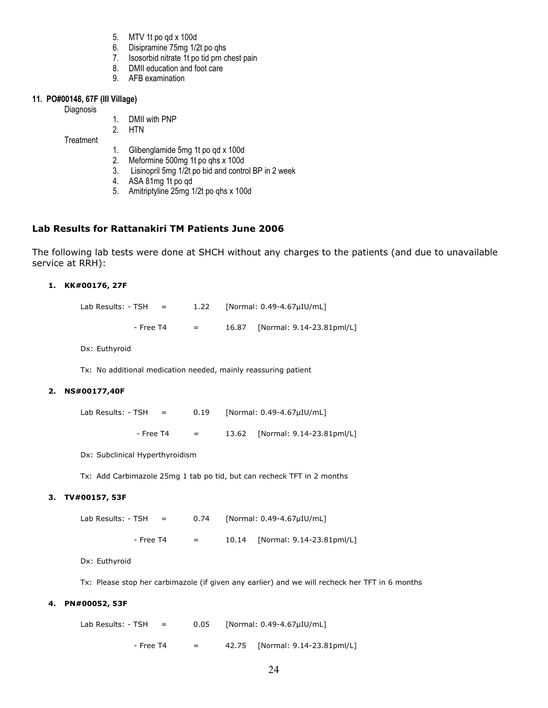- 5. MTV 1t po qd x 100d
- 6. Disipramine 75mg 1/2t po qhs
- 7. Isosorbid nitrate 1t po tid prn chest pain
- 8. DMII education and foot care
- 9. AFB examination

### **11. PO#00148, 67F (III Village)**

Diagnosis

1. DMII with PNP

2. HTN

**Treatment** 

- 1. Glibenglamide 5mg 1t po qd x 100d
- 2. Meformine 500mg 1t po qhs x 100d
- 3. Lisinopril 5mg 1/2t po bid and control BP in 2 week
- 4. ASA 81mg 1t po qd
- 5. Amitriptyline 25mg 1/2t po qhs x 100d

### **Lab Results for Rattanakiri TM Patients June 2006**

The following lab tests were done at SHCH without any charges to the patients (and due to unavailable service at RRH):

### **1. KK#00176, 27F**

Lab Results:  $-$  TSH = 1.22 [Normal: 0.49-4.67 $\mu$ IU/mL] - Free T4 = 16.87 [Normal: 9.14-23.81pml/L]

Dx: Euthyroid

Tx: No additional medication needed, mainly reassuring patient

### **2. NS#00177,40F**

| Lab Results: - TSH |           | $=$ | 0.19                      | [Normal: 0.49-4.67µIU/mL]       |
|--------------------|-----------|-----|---------------------------|---------------------------------|
|                    | - Free T4 |     | $\mathbf{r} = \mathbf{r}$ | 13.62 [Normal: 9.14-23.81pml/L] |

Dx: Subclinical Hyperthyroidism

Tx: Add Carbimazole 25mg 1 tab po tid, but can recheck TFT in 2 months

### **3. TV#00157, 53F**

Lab Results: - TSH =  $0.74$  [Normal:  $0.49 - 4.67 \mu IU/mL$ ] - Free T4 = 10.14 [Normal: 9.14-23.81pml/L]

Dx: Euthyroid

Tx: Please stop her carbimazole (if given any earlier) and we will recheck her TFT in 6 months

### **4. PN#00052, 53F**

Lab Results:  $-$  TSH = 0.05 [Normal: 0.49-4.67 $\mu$ IU/mL]  $-$  Free T4  $=$  42.75 [Normal: 9.14-23.81pml/L]